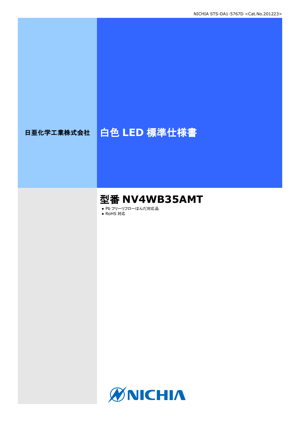# 日亜化学工業株式会社 | 白色 LED 標準仕様書

# 型番 **NV4WB35AMT**

● Pb フリーリフローはんだ対応品

● RoHS 対応

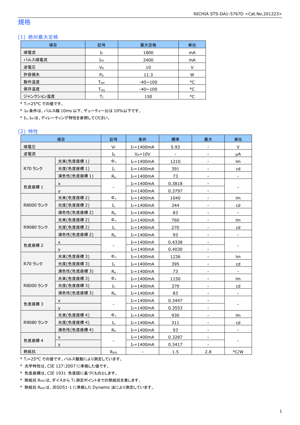## 規格

#### (1) 絶対最大定格

| 項目        | 記号                           | 最大定格           | 単位 |
|-----------|------------------------------|----------------|----|
| 順電流       | IF                           | 1800           | mA |
| パルス順電流    | ${\rm I}_{\rm FP}$           | 2400           | mA |
| 逆電圧       | $V_{R}$                      | 10             |    |
| 許容損失      | $P_D$                        | 11.3           | W  |
| 動作温度      | ${\mathsf T}_{\textsf{opr}}$ | $-40 \sim 100$ | °C |
| 保存温度      | ${\sf T}_{\sf stq}$          | $-40 \sim 100$ | °C |
| ジャンクション温度 |                              | 150            | ۰  |

\* T<sub>1</sub>=25°C での値です。

\* IFP条件は、パルス幅 10ms 以下、デューティー比は 10%以下です。

\* IF、IFPは、ディレーティング特性を参照してください。

#### (2) 特性

|             | 項目          | 記号                  | 条件             | 標準            | 最大                           | 単位                           |
|-------------|-------------|---------------------|----------------|---------------|------------------------------|------------------------------|
| 順電圧         |             | $V_F$               | $I_F = 1400mA$ | 5.93          |                              | V                            |
| 逆電流         |             | $I_{R}$             | $V_R = 10V$    | $\frac{1}{2}$ |                              | μA                           |
|             | 光束(色度座標 1)  | $\Phi$ <sub>v</sub> | $I_F = 1400mA$ | 1210          | $\overline{\phantom{a}}$     | Im                           |
| R70 ランク     | 光度(色度座標 1)  | $I_{v}$             | $I_F = 1400mA$ | 391           |                              | cd                           |
|             | 演色性(色度座標 1) | $R_a$               | $I_F = 1400mA$ | 73            | $\overline{\phantom{a}}$     | $\overline{\phantom{0}}$     |
|             | X           |                     | $I_F = 1400mA$ | 0.3818        | $\overline{\phantom{a}}$     |                              |
| 色度座標 1      | y           |                     | $I_F = 1400mA$ | 0.3797        | $\overline{\phantom{a}}$     |                              |
|             | 光束(色度座標 2)  | $\Phi$ <sub>v</sub> | $I_F = 1400mA$ | 1040          |                              | Im                           |
| R8000 ランク   | 光度(色度座標 2)  | $I_{\nu}$           | $I_F = 1400mA$ | 344           | $\overline{\phantom{a}}$     | cd                           |
|             | 演色性(色度座標 2) | $R_{a}$             | $I_F = 1400mA$ | 83            | $\overline{\phantom{a}}$     | $\overline{\phantom{a}}$     |
|             | 光束(色度座標 2)  | $\Phi$ <sub>v</sub> | $I_F = 1400mA$ | 760           |                              | Im                           |
| R9080 ランク   | 光度(色度座標2)   | $I_{\rm v}$         | $I_F = 1400mA$ | 270           | $\blacksquare$               | cd                           |
|             | 演色性(色度座標 2) |                     | $I_F = 1400mA$ | 93            | $\overline{\phantom{a}}$     | $\overline{\phantom{a}}$     |
| X           |             |                     | $I_F = 1400mA$ | 0.4338        | $\overline{\phantom{a}}$     |                              |
| 色度座標 2<br>У |             |                     | $I_F = 1400mA$ | 0.4030        |                              |                              |
|             | 光束(色度座標 3)  | $\Phi_v$            | $I_F = 1400mA$ | 1236          | $\blacksquare$               | Im                           |
| R70 ランク     | 光度(色度座標 3)  | $I_{\nu}$           | $I_F = 1400mA$ | 395           |                              | cd                           |
|             | 演色性(色度座標 3) | $R_{a}$             | $I_F = 1400mA$ | 73            | $\qquad \qquad \blacksquare$ | $\qquad \qquad \blacksquare$ |
|             | 光束(色度座標 3)  | $\Phi_{\rm v}$      | $I_F = 1400mA$ | 1150          |                              | lm                           |
| R8000 ランク   | 光度(色度座標 3)  | $I_{\nu}$           | $I_F = 1400mA$ | 379           | $\blacksquare$               | cd                           |
|             | 演色性(色度座標 3) | $R_a$               | $I_F = 1400mA$ | 83            |                              |                              |
|             | x           |                     | $I_F = 1400mA$ | 0.3447        |                              |                              |
| 色度座標 3      | y           | -                   | $I_F = 1400mA$ | 0.3553        |                              | $\overline{\phantom{0}}$     |
|             | 光束(色度座標4)   | $\Phi$ <sub>v</sub> | $I_F = 1400mA$ | 930           | $\overline{\phantom{a}}$     | lm                           |
| R9080 ランク   | 光度(色度座標4)   | $I_{\mathsf{v}}$    | $I_F = 1400mA$ | 311           |                              | cd                           |
|             | 演色性(色度座標4)  | $R_a$               | $I_F = 1400mA$ | 93            | $\sim$                       | $\overline{\phantom{0}}$     |
|             | x           |                     | $I_F = 1400mA$ | 0.3287        |                              |                              |
| 色度座標 4<br>y |             |                     | $I_F = 1400mA$ | 0.3417        |                              |                              |
| 熱抵抗         |             | R <sub>0JS</sub>    |                | $1.5\,$       | 2.8                          | °C/W                         |

\* TJ=25°C での値です。パルス駆動により測定しています。

\* 光学特性は、CIE 127:2007 に準拠した値です。

\* 色度座標は、CIE 1931 色度図に基づくものとします。

\* 熱抵抗 RθJSは、ダイスから TS測定ポイントまでの熱抵抗を表します。

\* 熱抵抗 RθJSは、JESD51-1 に準拠した Dynamic 法により測定しています。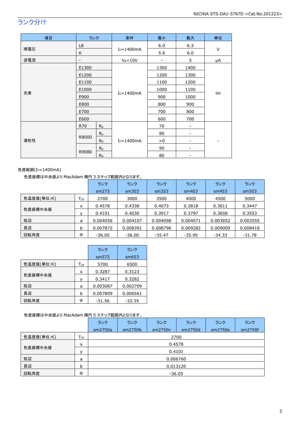# ランク分け

| 項目  | ランク               |                | 条件             | 最小   | 最大                           | 単位     |  |
|-----|-------------------|----------------|----------------|------|------------------------------|--------|--|
|     | L8                |                |                | 6.0  | 6.3                          |        |  |
| 順電圧 | K                 |                | $I_F = 1400mA$ | 5.6  | 6.0                          | $\vee$ |  |
| 逆電流 | $\qquad \qquad -$ |                | $V_R = 10V$    | -    | 5                            | μA     |  |
|     | E1300             |                |                | 1300 | 1400                         |        |  |
|     | E1200             |                |                | 1200 | 1300                         |        |  |
|     | E1100             |                |                | 1100 | 1200                         |        |  |
|     | E1000             |                | $I_F = 1400mA$ | 1000 | 1100                         | Im     |  |
| 光束  | E900              |                |                | 900  | 1000                         |        |  |
|     | E800              |                |                | 800  | 900                          |        |  |
|     | E700              |                |                | 700  | 800                          |        |  |
|     | E600              |                |                | 600  | 700                          |        |  |
|     | R70               | $R_{a}$        |                | 70   | $\qquad \qquad \blacksquare$ |        |  |
| 演色性 |                   | $R_{a}$        |                | 80   | -                            |        |  |
|     | R8000             | R <sub>9</sub> | $I_F = 1400mA$ | > 0  | -                            |        |  |
|     |                   | $R_{a}$        |                | 90   | ۰                            |        |  |
|     | R9080             | R <sub>9</sub> |                | 80   |                              |        |  |

#### 色度範囲(I<sub>F</sub>=1400mA)

#### 色度座標は中央値より MacAdam 楕円 3 ステップ範囲内となります。

|            |                            | ランク      | ランク      | ランク      | ランク      | ランク      | ランク      |
|------------|----------------------------|----------|----------|----------|----------|----------|----------|
|            |                            | sm273    | sm303    | sm353    | sm403    | sm453    | sm503    |
| 色温度値(単位:K) | $\mathsf{T}_{\mathsf{CP}}$ | 2700     | 3000     | 3500     | 4000     | 4500     | 5000     |
|            | x                          | 0.4578   | 0.4338   | 0.4073   | 0.3818   | 0.3611   | 0.3447   |
| 色度座標中央値    |                            | 0.4101   | 0.4030   | 0.3917   | 0.3797   | 0.3658   | 0.3553   |
| 短辺         | a                          | 0.004056 | 0.004107 | 0.004098 | 0.004071 | 0.003852 | 0.003555 |
| 長辺         | b                          | 0.007872 | 0.008391 | 0.008796 | 0.009282 | 0.009009 | 0.008418 |
| 回転角度       | Φ                          | $-36.05$ | $-36.00$ | $-35.47$ | $-35.95$ | -34.33   | $-31.78$ |

|            |     | ランク      | ランク      |
|------------|-----|----------|----------|
|            |     | sm573    | sm653    |
| 色温度値(単位:K) | Тcp | 5700     | 6500     |
|            | x   | 0.3287   | 0.3123   |
| 色度座標中央値    |     | 0.3417   | 0.3282   |
| 短辺         | a   | 0.003087 | 0.002709 |
| 長辺         | b   | 0.007809 | 0.006561 |
| 回転角度       | Ф   | $-31.56$ | $-32.35$ |

#### 色度座標は中央値より MacAdam 楕円 5 ステップ範囲内となります。

|            |                 | ランク      | ランク      | ランク     | ランク     | ランク     | ランク     |  |  |  |
|------------|-----------------|----------|----------|---------|---------|---------|---------|--|--|--|
|            |                 | sm2750a  | sm2750b  | sm2750c | sm2750d | sm2750e | sm2750f |  |  |  |
| 色温度値(単位:K) | $T_{\text{CP}}$ | 2700     |          |         |         |         |         |  |  |  |
| 色度座標中央値    | x               | 0.4578   |          |         |         |         |         |  |  |  |
|            | v               | 0.4101   |          |         |         |         |         |  |  |  |
| 短辺         | a               |          | 0.006760 |         |         |         |         |  |  |  |
| 長辺         | b               | 0.013120 |          |         |         |         |         |  |  |  |
| 回転角度       | Φ               | $-36.05$ |          |         |         |         |         |  |  |  |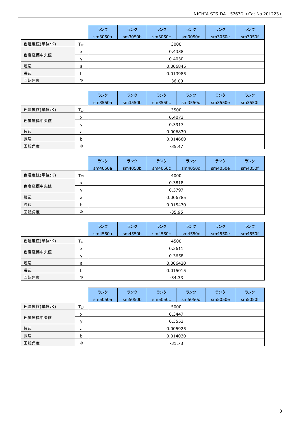|            |                   | ランク      | ランク     | ランク      | ランク     | ランク     | ランク     |  |  |
|------------|-------------------|----------|---------|----------|---------|---------|---------|--|--|
|            |                   | sm3050a  | sm3050b | sm3050c  | sm3050d | sm3050e | sm3050f |  |  |
| 色温度値(単位:K) | $T_{\mathsf{CP}}$ | 3000     |         |          |         |         |         |  |  |
| 色度座標中央値    | x                 | 0.4338   |         |          |         |         |         |  |  |
|            | $\mathsf{v}$      | 0.4030   |         |          |         |         |         |  |  |
| 短辺         | a                 |          |         | 0.006845 |         |         |         |  |  |
| 長辺         | b                 | 0.013985 |         |          |         |         |         |  |  |
| 回転角度       | Φ                 | $-36.00$ |         |          |         |         |         |  |  |

|            |                 | ランク      | ランク     | ランク     | ランク      | ランク     | ランク     |  |  |  |
|------------|-----------------|----------|---------|---------|----------|---------|---------|--|--|--|
|            |                 | sm3550a  | sm3550b | sm3550c | sm3550d  | sm3550e | sm3550f |  |  |  |
| 色温度値(単位:K) | T <sub>CP</sub> | 3500     |         |         |          |         |         |  |  |  |
|            |                 | 0.4073   |         |         |          |         |         |  |  |  |
| 色度座標中央値    |                 | 0.3917   |         |         |          |         |         |  |  |  |
| 短辺         | a               |          |         |         | 0.006830 |         |         |  |  |  |
| 長辺         | b               | 0.014660 |         |         |          |         |         |  |  |  |
| 回転角度       | Φ               | $-35.47$ |         |         |          |         |         |  |  |  |

|            |                 | ランク      | ランク      | ランク     | ランク     | ランク     | ランク     |  |  |  |
|------------|-----------------|----------|----------|---------|---------|---------|---------|--|--|--|
|            |                 | sm4050a  | sm4050b  | sm4050c | sm4050d | sm4050e | sm4050f |  |  |  |
| 色温度値(単位:K) | T <sub>CP</sub> |          | 4000     |         |         |         |         |  |  |  |
| 色度座標中央値    | x               | 0.3818   |          |         |         |         |         |  |  |  |
|            | v               | 0.3797   |          |         |         |         |         |  |  |  |
| 短辺         | a               |          | 0.006785 |         |         |         |         |  |  |  |
| 長辺         | b               | 0.015470 |          |         |         |         |         |  |  |  |
| 回転角度       | Φ               | $-35.95$ |          |         |         |         |         |  |  |  |

|            |                 | ランク      | ランク      | ランク     | ランク     | ランク     | ランク     |  |  |  |
|------------|-----------------|----------|----------|---------|---------|---------|---------|--|--|--|
|            |                 | sm4550a  | sm4550b  | sm4550c | sm4550d | sm4550e | sm4550f |  |  |  |
| 色温度値(単位:K) | T <sub>CP</sub> |          | 4500     |         |         |         |         |  |  |  |
| 色度座標中央値    | $\times$        |          | 0.3611   |         |         |         |         |  |  |  |
|            | $\mathbf{v}$    | 0.3658   |          |         |         |         |         |  |  |  |
| 短辺         | a               |          | 0.006420 |         |         |         |         |  |  |  |
| 長辺         | b               | 0.015015 |          |         |         |         |         |  |  |  |
| 回転角度       | Φ               | $-34.33$ |          |         |         |         |         |  |  |  |

|            |                 | ランク      | ランク      | ランク     | ランク     | ランク     | ランク     |  |  |
|------------|-----------------|----------|----------|---------|---------|---------|---------|--|--|
|            |                 | sm5050a  | sm5050b  | sm5050c | sm5050d | sm5050e | sm5050f |  |  |
| 色温度値(単位:K) | T <sub>CP</sub> | 5000     |          |         |         |         |         |  |  |
| 色度座標中央値    | X               | 0.3447   |          |         |         |         |         |  |  |
|            | $\mathbf{v}$    | 0.3553   |          |         |         |         |         |  |  |
| 短辺         | a               |          | 0.005925 |         |         |         |         |  |  |
| 長辺         | b               | 0.014030 |          |         |         |         |         |  |  |
| 回転角度       | Φ               | -31.78   |          |         |         |         |         |  |  |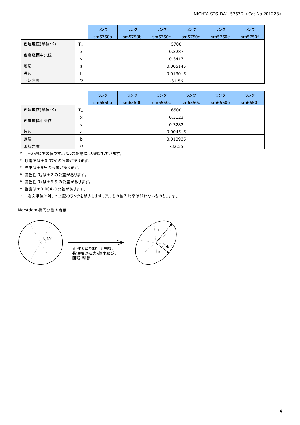|            |                 | ランク      | ランク     | ランク      | ランク     | ランク     | ランク     |  |  |
|------------|-----------------|----------|---------|----------|---------|---------|---------|--|--|
|            |                 | sm5750a  | sm5750b | sm5750c  | sm5750d | sm5750e | sm5750f |  |  |
| 色温度値(単位:K) | T <sub>CP</sub> | 5700     |         |          |         |         |         |  |  |
| 色度座標中央値    | X               | 0.3287   |         |          |         |         |         |  |  |
|            | $\mathbf{v}$    | 0.3417   |         |          |         |         |         |  |  |
| 短辺         | a               |          |         | 0.005145 |         |         |         |  |  |
| 長辺         | b               | 0.013015 |         |          |         |         |         |  |  |
| 回転角度       | Φ               | -31.56   |         |          |         |         |         |  |  |

|            |             | ランク      | ランク     | ランク     | ランク     | ランク     | ランク     |  |
|------------|-------------|----------|---------|---------|---------|---------|---------|--|
|            |             | sm6550a  | sm6550b | sm6550c | sm6550d | sm6550e | sm6550f |  |
| 色温度値(単位:K) | TcP         |          | 6500    |         |         |         |         |  |
| 色度座標中央値    | x           |          | 0.3123  |         |         |         |         |  |
|            | $\mathbf v$ | 0.3282   |         |         |         |         |         |  |
| 短辺         | a           | 0.004515 |         |         |         |         |         |  |
| 長辺         | b           | 0.010935 |         |         |         |         |         |  |
| 回転角度       | Φ           | $-32.35$ |         |         |         |         |         |  |

\* TJ=25°C での値です。パルス駆動により測定しています。

\* 順電圧は±0.07V の公差があります。

\* 光束は±6%の公差があります。

\* 演色性 Raは±2 の公差があります。

\* 演色性 R9は±6.5 の公差があります。

\* 色度は±0.004 の公差があります。

\* 1 注文単位に対して上記のランクを納入します。又、その納入比率は問わないものとします。

#### MacAdam 楕円分割の定義



⇒ 正円状態で60°分割後、 長短軸の拡大・縮小及び、 回転・移動

b  $\overline{\Phi}$ a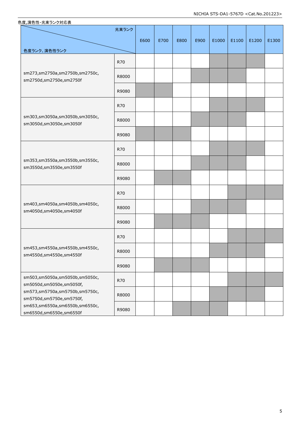| 色度,演色性-光束ランク対応表                                            |       |      |      |      |      |       |       |       |       |
|------------------------------------------------------------|-------|------|------|------|------|-------|-------|-------|-------|
|                                                            | 光束ランク | E600 | E700 | E800 | E900 | E1000 | E1100 | E1200 | E1300 |
| 色度ランク、演色性ランク                                               |       |      |      |      |      |       |       |       |       |
|                                                            | R70   |      |      |      |      |       |       |       |       |
| sm273,sm2750a,sm2750b,sm2750c,<br>sm2750d,sm2750e,sm2750f  | R8000 |      |      |      |      |       |       |       |       |
|                                                            | R9080 |      |      |      |      |       |       |       |       |
|                                                            | R70   |      |      |      |      |       |       |       |       |
| sm303,sm3050a,sm3050b,sm3050c,<br>sm3050d,sm3050e,sm3050f  | R8000 |      |      |      |      |       |       |       |       |
|                                                            | R9080 |      |      |      |      |       |       |       |       |
|                                                            | R70   |      |      |      |      |       |       |       |       |
| sm353,sm3550a,sm3550b,sm3550c,<br>sm3550d,sm3550e,sm3550f  | R8000 |      |      |      |      |       |       |       |       |
|                                                            | R9080 |      |      |      |      |       |       |       |       |
|                                                            | R70   |      |      |      |      |       |       |       |       |
| sm403,sm4050a,sm4050b,sm4050c,<br>sm4050d,sm4050e,sm4050f  | R8000 |      |      |      |      |       |       |       |       |
|                                                            | R9080 |      |      |      |      |       |       |       |       |
|                                                            | R70   |      |      |      |      |       |       |       |       |
| sm453,sm4550a,sm4550b,sm4550c,<br>sm4550d,sm4550e,sm4550f  | R8000 |      |      |      |      |       |       |       |       |
|                                                            | R9080 |      |      |      |      |       |       |       |       |
| sm503,sm5050a,sm5050b,sm5050c,<br>sm5050d,sm5050e,sm5050f, | R70   |      |      |      |      |       |       |       |       |
| sm573,sm5750a,sm5750b,sm5750c,<br>sm5750d,sm5750e,sm5750f, | R8000 |      |      |      |      |       |       |       |       |
| sm653,sm6550a,sm6550b,sm6550c,<br>sm6550d,sm6550e,sm6550f  | R9080 |      |      |      |      |       |       |       |       |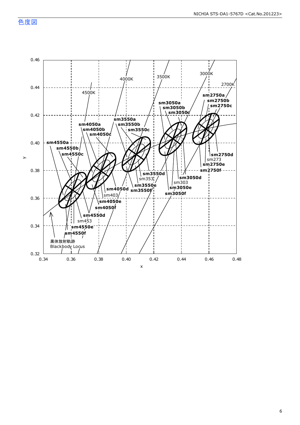色度図

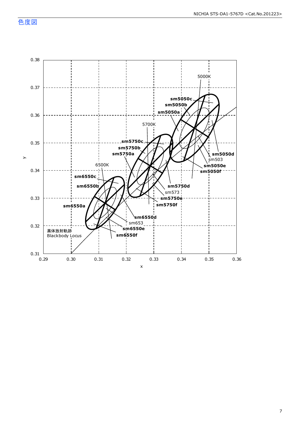色度図

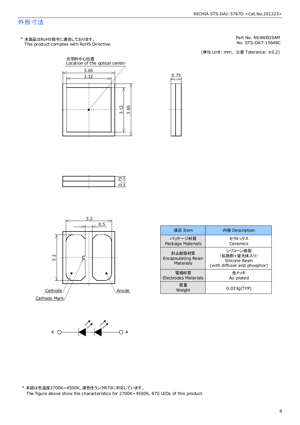This product complies with RoHS Directive. \* 本製品はRoHS指令に適合しております。



No. STS-DA7-15648C Part No. NV4WB35AM

(単位 Unit: mm) (単位 Unit: mm, 公差 Tolerance: ±0.2)













\* 本図は色温度2700K~4500K、演色性ランクR70に対応しています。 The figure above show the characteristics for 2700K~4500K, R70 LEDs of this product.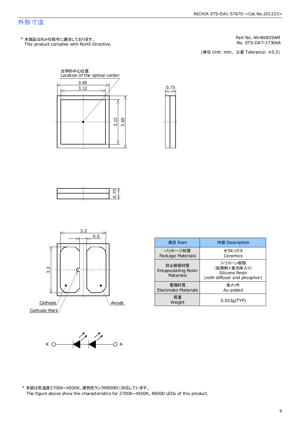This product complies with RoHS Directive. \* 本製品はRoHS指令に適合しております。

No. STS-DA7-17306A Part No. NV4WB35AM

(単位 Unit: mm) (単位 Unit: mm, 公差 Tolerance: ±0.2)









| 項目 Item                                    | 内容 Description                                                           |  |
|--------------------------------------------|--------------------------------------------------------------------------|--|
| パッケージ材質<br>Package Materials               | セラミックス<br>Ceramics                                                       |  |
| 封止樹脂材質<br>Encapsulating Resin<br>Materials | シリコーン樹脂<br>(拡散剤+蛍光体入り)<br>Silicone Resin<br>(with diffuser and phosphor) |  |
| 電極材質<br><b>Electrodes Materials</b>        | 余メッキ<br>Au-plated                                                        |  |
| 質量<br>Weight                               | 0.033q(TYP)                                                              |  |



\* 本図は色温度2700K~4500K、演色性ランクR8000に対応しています。 The figure above show the characteristics for 2700K~4500K, R8000 LEDs of this product.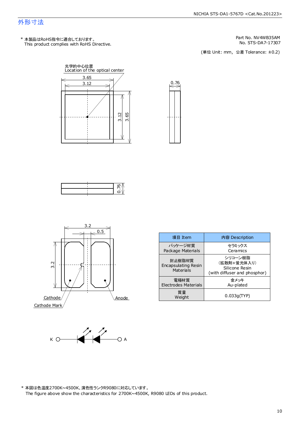This product complies with RoHS Directive. \* 本製品はRoHS指令に適合しております。

No. STS-DA7-17307 Part No. NV4WB35AM

(単位 Unit: mm) (単位 Unit: mm, 公差 Tolerance: ±0.2)









| 項目 Item                                           | 内容 Description                                                           |  |  |
|---------------------------------------------------|--------------------------------------------------------------------------|--|--|
| パッケージ材質<br>Package Materials                      | セラミックス<br>Ceramics                                                       |  |  |
| 封止樹脂材質<br><b>Encapsulating Resin</b><br>Materials | シリコーン樹脂<br>(拡散剤+蛍光体入り)<br>Silicone Resin<br>(with diffuser and phosphor) |  |  |
| 雷極材質<br>Electrodes Materials                      | 金メッキ<br>Au-plated                                                        |  |  |
| 質量<br>Weight                                      | 0.033q(TYP)                                                              |  |  |



\* 本図は色温度2700K~4500K、演色性ランクR9080に対応しています。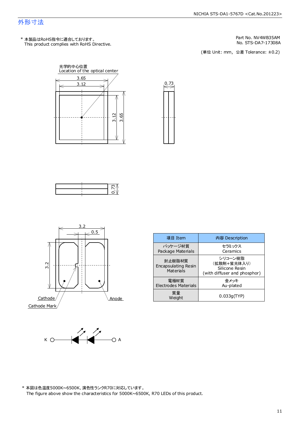This product complies with RoHS Directive. \* 本製品はRoHS指令に適合しております。

No. STS-DA7-17308A Part No. NV4WB35AM

(単位 Unit: mm) (単位 Unit: mm, 公差 Tolerance: ±0.2)





 $\xrightarrow{0.73}$ 





| 項目 Item                                           | 内容 Description                                                           |  |
|---------------------------------------------------|--------------------------------------------------------------------------|--|
| パッケージ材質<br>Package Materials                      | セラミックス<br>Ceramics                                                       |  |
| 封止樹脂材質<br><b>Encapsulating Resin</b><br>Materials | シリコーン樹脂<br>(拡散剤+蛍光体入り)<br>Silicone Resin<br>(with diffuser and phosphor) |  |
| 雷極材質<br>Electrodes Materials                      | 金メッキ<br>Au-plated                                                        |  |
| 質量<br>Weight                                      | 0.033q(TYP)                                                              |  |

 $K \bigcirc \bigcirc \bigcirc \bigcirc \bigcirc \bigcirc \bigcirc \bigcirc \bigcirc \bigcirc \bigcirc \bigcirc$ 

\* 本図は色温度5000K~6500K、演色性ランクR70に対応しています。 The figure above show the characteristics for 5000K~6500K, R70 LEDs of this product.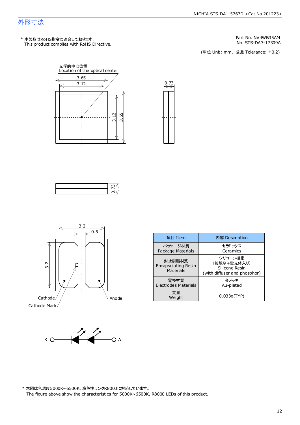This product complies with RoHS Directive. \* 本製品はRoHS指令に適合しております。

No. STS-DA7-17309A Part No. NV4WB35AM

(単位 Unit: mm) (単位 Unit: mm, 公差 Tolerance: ±0.2)





 $\overset{0.73}{\Longleftrightarrow}$ 





| 項目 Item                                           | 内容 Description                                                           |
|---------------------------------------------------|--------------------------------------------------------------------------|
| パッケージ材質<br>Package Materials                      | セラミックス<br>Ceramics                                                       |
| 封止樹脂材質<br><b>Encapsulating Resin</b><br>Materials | シリコーン樹脂<br>(拡散剤+蛍光体入り)<br>Silicone Resin<br>(with diffuser and phosphor) |
| 電極材質<br>Electrodes Materials                      | 金メッキ<br>Au-plated                                                        |
| 質量<br>Weight                                      | 0.033q(TYP)                                                              |



\* 本図は色温度5000K~6500K、演色性ランクR8000に対応しています。 The figure above show the characteristics for 5000K~6500K, R8000 LEDs of this product.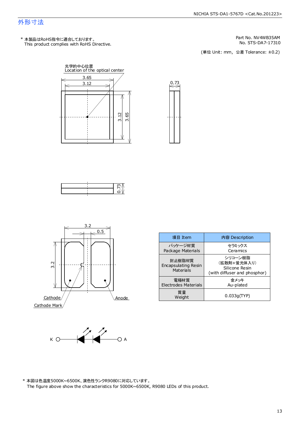This product complies with RoHS Directive. \* 本製品はRoHS指令に適合しております。

No. STS-DA7-17310 Part No. NV4WB35AM

(単位 Unit: mm) (単位 Unit: mm, 公差 Tolerance: ±0.2)









| 項目 Item                                    | 内容 Description                                                           |  |
|--------------------------------------------|--------------------------------------------------------------------------|--|
| パッケージ材質<br>Package Materials               | セラミックス<br>Ceramics                                                       |  |
| 封止樹脂材質<br>Encapsulating Resin<br>Materials | シリコーン樹脂<br>(拡散剤+蛍光体入り)<br>Silicone Resin<br>(with diffuser and phosphor) |  |
| 電極材質<br>Electrodes Materials               | 金メッキ<br>Au-plated                                                        |  |
| 質量<br>Weight                               | 0.033q(TYP)                                                              |  |



\* 本図は色温度5000K~6500K、演色性ランクR9080に対応しています。 The figure above show the characteristics for 5000K~6500K, R9080 LEDs of this product.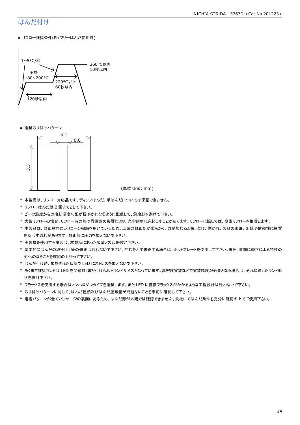# はんだ付け

● リフロー推奨条件(Pb フリーはんだ使用時)



● 推奨取り付けパターン



(単位 Unit: mm)

- \* 本製品は、リフロー対応品です。ディップはんだ、手はんだについては保証できません。
- \* リフローはんだは 2 回までとして下さい。
- \* ピーク温度からの冷却温度勾配が緩やかになるように配慮して、急冷却を避けて下さい。
- \* 大気リフローの場合、リフロー時の熱や雰囲気の影響により、光学的劣化を起こすことがあります。リフローに際しては、窒素リフローを推奨します。
- \* 本製品は、封止材料にシリコーン樹脂を用いているため、上面の封止部が柔らかく、力が加わると傷、欠け、剥がれ、製品の変形、断線や信頼性に影響 を及ぼす恐れがあります。封止部に圧力を加えないで下さい。
- \* 実装機を使用する場合は、本製品にあった吸着ノズルを選定下さい。
- \* 基本的にはんだの取り付け後の修正は行わないで下さい。やむをえず修正する場合は、ホットプレートを使用して下さい。また、事前に修正による特性の 劣化のなきことを確認の上行って下さい。
- \* はんだ付け時、加熱された状態で LED にストレスを加えないで下さい。
- \* あくまで推奨ランドは LED を問題無く取り付けられるランドサイズとなっています。高密度実装などで実装精度が必要となる場合は、それに適したランド形 状を検討下さい。
- \* フラックスを使用する場合はノンハロゲンタイプを推奨します。また LED に直接フラックスがかかるような工程設計は行わないで下さい。
- \* 取り付けパターンに対して、はんだ種類及びはんだ塗布量が問題ないことを事前に確認して下さい。
- \* 電極パターンが全てパッケージの裏面にあるため、はんだ部が外観では確認できません。貴社にてはんだ条件を充分に確認の上でご使用下さい。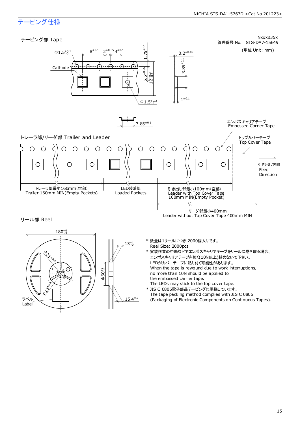# テーピング仕様

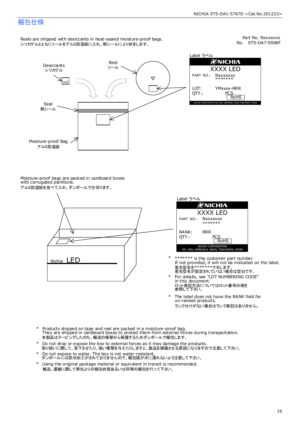### 梱包仕様

Reels are shipped with desiccants in heat-sealed moisture-proof bags. シリカゲルとともにリールをアルミ防湿袋に入れ、熱シールにより封をします。

No. STS-DA7-0006F Part No. Nxxxxxxx



Moisture-proof bags are packed in cardboard boxes with corrugated partitions. アルミ防湿袋を並べて入れ、ダンボールで仕切ります。





- 客先型名を\*\*\*\*\*\*\*\*で示します。<br>客先型名が設定されていない場合は空白です。 If not provided, it will not be indicated on the label. \*\*\*\*\*\*\* is the customer part number.
- For details, see "LOT NUMBERING CODE" in this document. ロット表記方法についてはロット番号の項を<br>参照して下さい。
- The label does not have the RANK field for un-ranked products. ランク分けがない場合はランク表記はありません。 \*
- Products shipped on tape and reel are packed in a moisture-proof bag. They are shipped in cardboard boxes to protect them from external forces during transportation. 本製品はテーピングしたのち、輸送の衝撃から保護するためダンボールで梱包します。 \*
- Do not drop or expose the box to external forces as it may damage the products. 取り扱いに際して、落下させたり、強い衝撃を与えたりしますと、製品を損傷させる原因になりますので注意して下さい。 \*
- Do not expose to water. The box is not water-resistant. ダンボールには防水加工がされておりませんので、梱包箱が水に濡れないよう注意して下さい。 \*
- \* Using the original package material or equivalent in transit is recommended. 輸送、運搬に際して弊社よりの梱包状態あるいは同等の梱包を行って下さい。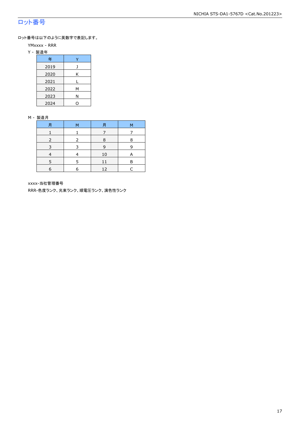# ロット番号

ロット番号は以下のように英数字で表記します。

- YMxxxx RRR
- Y 製造年

| 年    |   |
|------|---|
| 2019 |   |
| 2020 | Κ |
| 2021 |   |
| 2022 | М |
| 2023 | Ν |
| 2024 |   |

#### M - 製造月

| 月 | м | 月  | M |
|---|---|----|---|
|   |   |    |   |
|   |   | 8  | 8 |
| ∍ |   | q  | q |
|   |   | 10 | А |
|   |   |    | R |
| 6 | 6 | 12 |   |

xxxx-当社管理番号

RRR-色度ランク、光束ランク、順電圧ランク、演色性ランク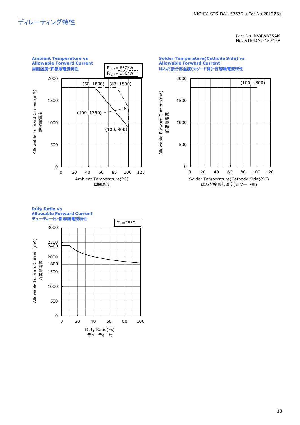# ディレーティング特性

Part No. NV4WB35AM No. STS-DA7-15747A



#### **Solder Temperature(Cathode Side) vs Allowable Forward Current** はんだ接合部温度**(**カソード側**)-**許容順電流特性



#### **Duty Ratio vs Allowable Forward Current** デューティー比**-**許容順電流特性

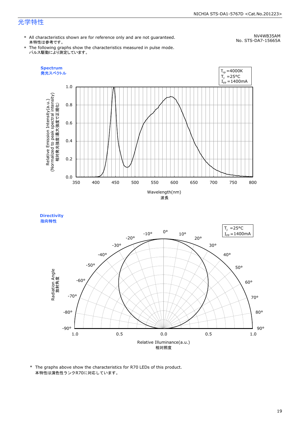# 光学特性

\* All characteristics shown are for reference only and are not guaranteed. 本特性は参考です。

NV4WB35AM No. STS-DA7-15665A

\* The following graphs show the characteristics measured in pulse mode. パルス駆動により測定しています。





<sup>\*</sup> The graphs above show the characteristics for R70 LEDs of this product. 本特性は演色性ランクR70に対応しています。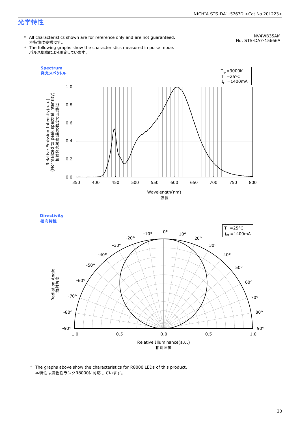# 光学特性

\* All characteristics shown are for reference only and are not guaranteed. 本特性は参考です。

NV4WB35AM No. STS-DA7-15666A

\* The following graphs show the characteristics measured in pulse mode. パルス駆動により測定しています。





\* The graphs above show the characteristics for R8000 LEDs of this product. 本特性は演色性ランクR8000に対応しています。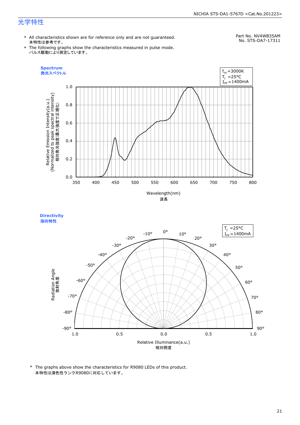# 光学特性

\* All characteristics shown are for reference only and are not guaranteed. 本特性は参考です。

# Part No. NV4WB35AM

\* The following graphs show the characteristics measured in pulse mode. パルス駆動により測定しています。

No. STS-DA7-17311





\* The graphs above show the characteristics for R9080 LEDs of this product. 本特性は演色性ランクR9080に対応しています。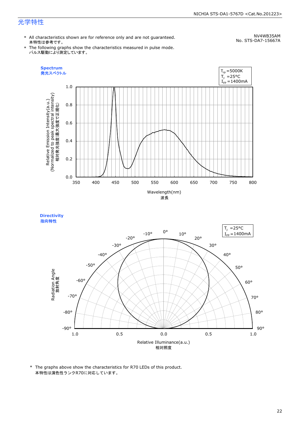# 光学特性

\* All characteristics shown are for reference only and are not guaranteed. 本特性は参考です。

NV4WB35AM No. STS-DA7-15667A

\* The following graphs show the characteristics measured in pulse mode. パルス駆動により測定しています。





<sup>\*</sup> The graphs above show the characteristics for R70 LEDs of this product. 本特性は演色性ランクR70に対応しています。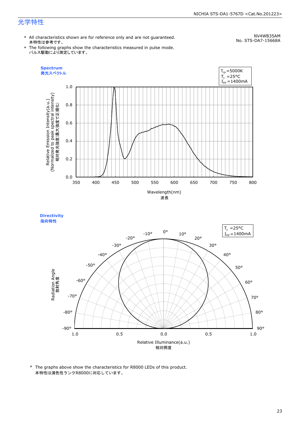# 光学特性

\* All characteristics shown are for reference only and are not guaranteed. 本特性は参考です。

NV4WB35AM No. STS-DA7-15668A

\* The following graphs show the characteristics measured in pulse mode. パルス駆動により測定しています。





\* The graphs above show the characteristics for R8000 LEDs of this product. 本特性は演色性ランクR8000に対応しています。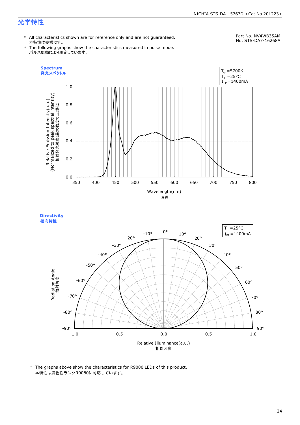## 光学特性

\* All characteristics shown are for reference only and are not guaranteed. 本特性は参考です。

#### Part No. NV4WB35AM No. STS-DA7-16268A

\* The following graphs show the characteristics measured in pulse mode. パルス駆動により測定しています。





\* The graphs above show the characteristics for R9080 LEDs of this product. 本特性は演色性ランクR9080に対応しています。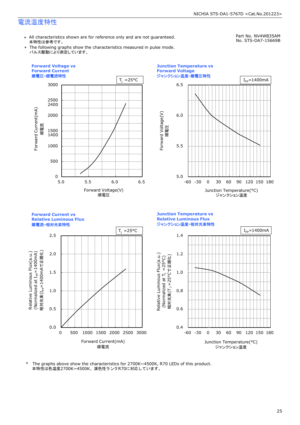\* All characteristics shown are for reference only and are not guaranteed. 本特性は参考です。

Part No. NV4WB35AM No. STS-DA7-15669B

\* The following graphs show the characteristics measured in pulse mode. パルス駆動により測定しています。







本特性は色温度2700K~4500K、演色性ランクR70に対応しています。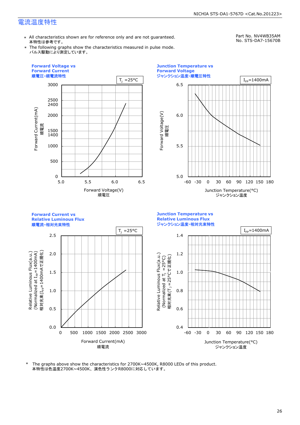\* All characteristics shown are for reference only and are not guaranteed. 本特性は参考です。

Part No. NV4WB35AM No. STS-DA7-15670B

\* The following graphs show the characteristics measured in pulse mode. パルス駆動により測定しています。







本特性は色温度2700K~4500K、演色性ランクR8000に対応しています。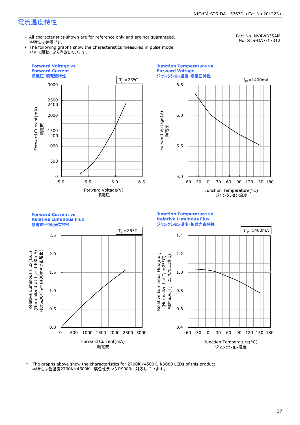\* All characteristics shown are for reference only and are not guaranteed. 本特性は参考です。

Part No. NV4WB35AM

\* The following graphs show the characteristics measured in pulse mode. パルス駆動により測定しています。

No. STS-DA7-17312







本特性は色温度2700K~4500K、演色性ランクR9080に対応しています。 \* The graphs above show the characteristics for 2700K~4500K, R9080 LEDs of this product.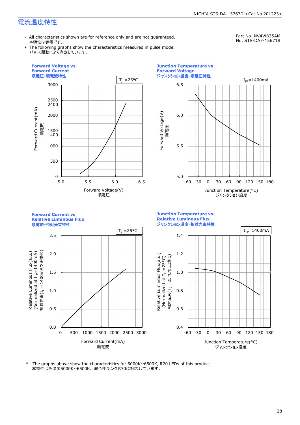\* All characteristics shown are for reference only and are not guaranteed. 本特性は参考です。

Part No. NV4WB35AM No. STS-DA7-15671B

\* The following graphs show the characteristics measured in pulse mode. パルス駆動により測定しています。







本特性は色温度5000K~6500K、演色性ランクR70に対応しています。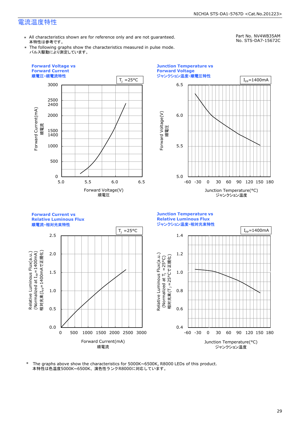\* All characteristics shown are for reference only and are not guaranteed. 本特性は参考です。

Part No. NV4WB35AM No. STS-DA7-15672C

\* The following graphs show the characteristics measured in pulse mode. パルス駆動により測定しています。







本特性は色温度5000K~6500K、演色性ランクR8000に対応しています。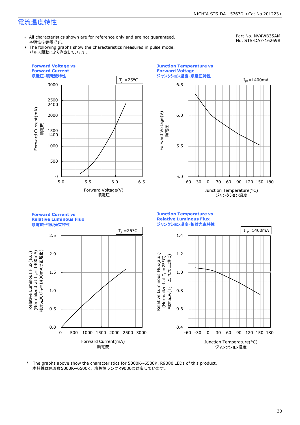\* All characteristics shown are for reference only and are not guaranteed. 本特性は参考です。

Part No. NV4WB35AM No. STS-DA7-16269B

\* The following graphs show the characteristics measured in pulse mode. パルス駆動により測定しています。







本特性は色温度5000K~6500K、演色性ランクR9080に対応しています。 \* The graphs above show the characteristics for 5000K~6500K, R9080 LEDs of this product.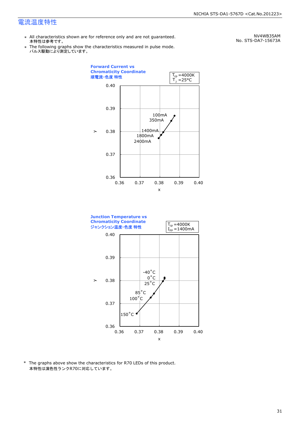\* All characteristics shown are for reference only and are not guaranteed. 本特性は参考です。

NV4WB35AM No. STS-DA7-15673A

\* Ine following graphs show th<br>、パルス駆動により測定しています。 The following graphs show the characteristics measured in pulse mode.





\* The graphs above show the characteristics for R70 LEDs of this product. 本特性は演色性ランクR70に対応しています。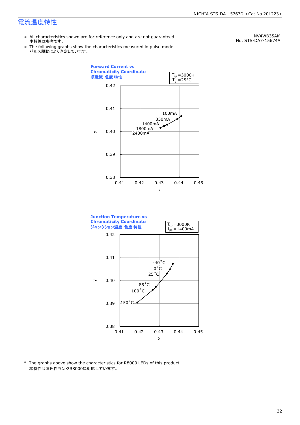\* All characteristics shown are for reference only and are not guaranteed. 本特性は参考です。

\* Ine following graphs show th<br>、パルス駆動により測定しています。 The following graphs show the characteristics measured in pulse mode.

NV4WB35AM No. STS-DA7-15674A





\* The graphs above show the characteristics for R8000 LEDs of this product. 本特性は演色性ランクR8000に対応しています。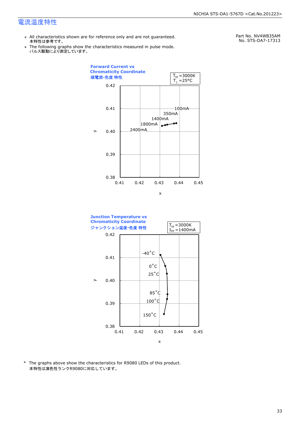- \* All characteristics shown are for reference only and are not guaranteed. 本特性は参考です。
- \* Ine following graphs show th<br>、パルス駆動により測定しています。 The following graphs show the characteristics measured in pulse mode.

Part No. NV4WB35AM No. STS-DA7-17313





\* The graphs above show the characteristics for R9080 LEDs of this product. 本特性は演色性ランクR9080に対応しています。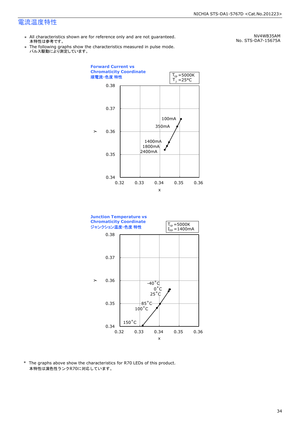\* All characteristics shown are for reference only and are not guaranteed. 本特性は参考です。

NV4WB35AM No. STS-DA7-15675A

\* Ine following graphs show th<br>、パルス駆動により測定しています。 The following graphs show the characteristics measured in pulse mode.





\* The graphs above show the characteristics for R70 LEDs of this product. 本特性は演色性ランクR70に対応しています。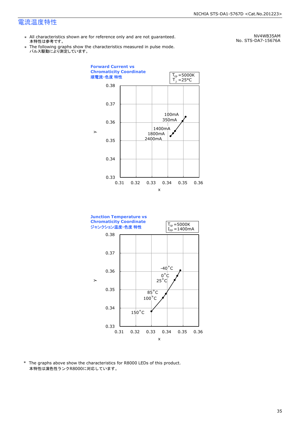- \* All characteristics shown are for reference only and are not guaranteed. 本特性は参考です。
- \* Ine following graphs show th<br>、パルス駆動により測定しています。 The following graphs show the characteristics measured in pulse mode.

NV4WB35AM No. STS-DA7-15676A





\* The graphs above show the characteristics for R8000 LEDs of this product. 本特性は演色性ランクR8000に対応しています。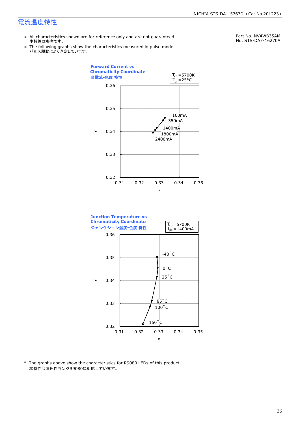- \* All characteristics shown are for reference only and are not guaranteed. 本特性は参考です。
- \* Ine following graphs show th<br>、パルス駆動により測定しています。 The following graphs show the characteristics measured in pulse mode.

Part No. NV4WB35AM No. STS-DA7-16270A





\* The graphs above show the characteristics for R9080 LEDs of this product. 本特性は演色性ランクR9080に対応しています。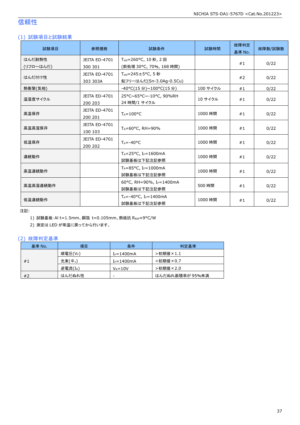# 信頼性

#### (1) 試験項目と試験結果

| 試験項目      | 参照規格                            | 試験条件                                                        | 試験時間     | 故障判定<br>基準 No. | 故障数/試験数 |
|-----------|---------------------------------|-------------------------------------------------------------|----------|----------------|---------|
| はんだ耐熱性    | <b>JEITA ED-4701</b>            | T <sub>sld</sub> =260°C, 10 秒, 2 回                          |          |                |         |
| (リフローはんだ) | 300 301                         | (前処理 30°C, 70%, 168 時間)                                     |          | #1             | 0/22    |
|           | <b>JEITA ED-4701</b>            | $T_{\text{std}} = 245 \pm 5^{\circ}$ C, 5秒                  |          |                |         |
| はんだ付け性    | 303 303A                        | 鉛フリーはんだ(Sn-3.0Ag-0.5Cu)                                     |          | #2             | 0/22    |
| 熱衝撃(気相)   |                                 | -40°C(15分)~100°C(15分)                                       | 100 サイクル | #1             | 0/22    |
| 温湿度サイクル   | <b>JEITA ED-4701</b><br>200 203 | 25°C~65°C~-10°C, 90%RH<br>24 時間/1 サイクル                      | 10 サイクル  | #1             | 0/22    |
| 高温保存      | <b>JEITA ED-4701</b><br>200 201 | 1000 時間<br>$T_A = 100^{\circ}C$                             |          | #1             | 0/22    |
| 高温高湿保存    | <b>JEITA ED-4701</b><br>100 103 | $T_A = 60^{\circ}$ C, RH = 90%                              | 1000 時間  | #1             | 0/22    |
| 低温保存      | <b>JEITA ED-4701</b><br>200 202 | $T_A = -40$ °C                                              | 1000 時間  | #1             | 0/22    |
| 連続動作      |                                 | $T_A = 25$ °C, I <sub>F</sub> =1600mA<br>試験基板は下記注記参照        | 1000 時間  | #1             | 0/22    |
| 高温連続動作    |                                 | $T_A = 85^{\circ}C$ , I <sub>F</sub> =1000mA<br>試験基板は下記注記参照 | 1000 時間  | #1             | 0/22    |
| 高温高湿連続動作  |                                 | 60°C, RH=90%, IF=1400mA<br>試験基板は下記注記参照                      | 500 時間   | #1             | 0/22    |
| 低温連続動作    |                                 | $T_A = -40$ °C, I <sub>F</sub> = 1400 mA<br>試験基板は下記注記参照     | 1000 時間  | #1             | 0/22    |

注記:

1) 試験基板:Al t=1.5mm、銅箔 t=0.105mm、熱抵抗 RθJA≈9°C/W

2) 測定は LED が常温に戻ってから行います。

#### (2) 故障判定基準

| 基準 No. | 項目                  | 条件              | 判定基準            |
|--------|---------------------|-----------------|-----------------|
|        | 順電圧(VF)             | $I_F = 1400$ mA | >初期値×1.1        |
| #1     | 光束(Φ <sub>v</sub> ) | $I_F = 1400$ mA | <初期値×0.7        |
|        | 逆電流(IR)             | $V_R = 10V$     | >初期値×2.0        |
| #2     | はんだぬれ性              | -               | はんだぬれ面積率が 95%未満 |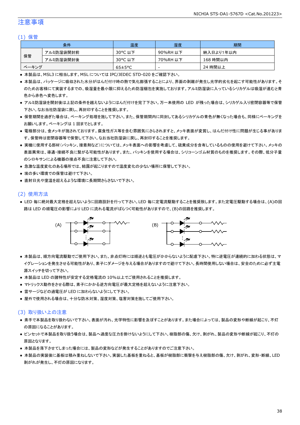#### 注意事項

#### (1) 保管

|       | 条件        | 温度                   | 湿度       | 期間        |
|-------|-----------|----------------------|----------|-----------|
|       | アルミ防湿袋開封前 | 30°C 以下              | 90%RH 以下 | 納入日より1年以内 |
| 保管    | アルミ防湿袋開封後 | 30°C 以下              | 70%RH 以下 | 168 時間以内  |
| ベーキング |           | $65 \pm 5^{\circ}$ C | -        | 24 時間以上   |

● 本製品は、MSL3 に相当します。MSL については IPC/JEDEC STD-020 をご確認下さい。

- 本製品は、パッケージに吸収された水分がはんだ付け時の熱で気化膨張することにより、界面の剥離が発生し光学的劣化を起こす可能性があります。そ のためお客様にて実装するまでの、吸湿量を最小限に抑えるため防湿梱包を実施しております。アルミ防湿袋に入っているシリカゲルは吸湿が進むと青 色から赤色へ変色します。
- アルミ防湿袋を開封後は上記の条件を越えないようにはんだ付けを完了下さい。万一未使用の LED が残った場合は、シリカゲル入り密閉容器等で保管 下さい。なお当社防湿袋に戻し、再封印することを推奨します。
- 保管期間を過ぎた場合は、ベーキング処理を施して下さい。また、保管期間内に同封してあるシリカゲルの青色が無くなった場合も、同様にベーキングを お願いします。ベーキングは 1 回までとします。
- 電極部分は、金メッキが施されております。腐食性ガス等を含む雰囲気にさらされますと、メッキ表面が変質し、はんだ付け性に問題が生じる事がありま す。保管時は密閉容器等で保管して下さい。なお当社防湿袋に戻し、再封印することを推奨します。
- 実機に使用する部材(パッキン、接着剤など)については、メッキ表面への影響を考慮して、硫黄成分を含有しているものの使用を避けて下さい。メッキの 表面異常は、導通・接続不良に繋がる可能性があります。また、パッキンを使用する場合は、シリコーンゴム材質のものを推奨します。その際、低分子量 のシロキサンによる機器の接点不良に注意して下さい。
- 急激な温度変化のある場所では、結露が起こりますので温度変化の少ない場所に保管して下さい。
- 埃の多い環境での保管は避けて下さい。
- 直射日光や室温を超えるような環境に長期間さらさないで下さい。

#### (2) 使用方法

● LED 毎に絶対最大定格を超えないように回路設計を行って下さい。LED 毎に定電流駆動することを推奨致します。また定電圧駆動する場合は、(A)の回 路は LED の順電圧の影響により LED に流れる電流がばらつく可能性がありますので、(B)の回路を推奨します。



- 本製品は、順方向電流駆動でご使用下さい。また、非点灯時には順逆とも電圧がかからないように配慮下さい。特に逆電圧が連続的に加わる状態は、マ イグレーションを発生させる可能性があり、素子にダメージを与える場合がありますので避けて下さい。長時間使用しない場合は、安全のために必ず主電 源スイッチを切って下さい。
- 本製品は LED の諸特性が安定する定格電流の 10%以上でご使用されることを推奨します。
- マトリックス動作をさせる際は、素子にかかる逆方向電圧が最大定格を超えないように注意下さい。
- 雷サージなどの過電圧が LED に加わらないようにして下さい。
- 屋外で使用される場合は、十分な防水対策、湿度対策、塩害対策を施してご使用下さい。

#### (3) 取り扱い上の注意

- 素手で本製品を取り扱わないで下さい。表面が汚れ、光学特性に影響を及ぼすことがあります。また場合によっては、製品の変形や断線が起こり、不灯 の原因になることがあります。
- ピンセットで本製品を取り扱う場合は、製品へ過度な圧力を掛けないようにして下さい。樹脂部の傷、欠け、剥がれ、製品の変形や断線が起こり、不灯の 原因となります。
- 本製品を落下させてしまった場合には、製品の変形などが発生することがありますのでご注意下さい。
- 本製品の実装後に基板は積み重ねしないで下さい。実装した基板を重ねると、基板が樹脂部に衝撃を与え樹脂部の傷、欠け、剥がれ、変形・断線、LED 剥がれが発生し、不灯の原因になります。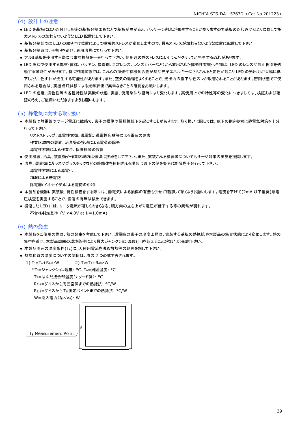#### (4) 設計上の注意

- LED を基板にはんだ付けした後の基板分割工程などで基板が曲がると、パッケージ割れが発生することがありますので基板のたわみやねじりに対して極 力ストレスの加わらないような LED 配置にして下さい。
- 基板分割部では LED の取り付け位置によって機械的ストレスが変化しますので、最もストレスが加わらないような位置に配置して下さい。
- 基板分割時は、手割りを避け、専用治具にて行って下さい。
- アルミ基板を使用する際には事前検証を十分行って下さい。使用時の熱ストレスによりはんだクラックが発生する恐れがあります。
- LED 周辺で使用する部材(筐体、パッキン、接着剤、2 次レンズ、レンズカバーなど)から放出された揮発性有機化合物は、LED のレンズや封止樹脂を透 過する可能性があります。特に密閉状態では、これらの揮発性有機化合物が熱や光子エネルギーにさらされると変色が起こり LED の光出力が大幅に低 下したり、色ずれが発生する可能性があります。また、空気の循環をよくすることで、光出力の低下や色ズレが改善されることがあります。密閉状態でご使 用される場合は、実機点灯試験による光学評価で異常なきことの確認をお願いします。
- LED の色度、演色性等の各種特性は実機の状態、実装、使用条件や経時により変化します。実使用上での特性等の変化につきましては、検証および確 認のうえ、ご使用いただきますようお願いします。

#### (5) 静電気に対する取り扱い

● 本製品は静電気やサージ電圧に敏感で、素子の損傷や信頼性低下を起こすことがあります。取り扱いに際しては、以下の例を参考に静電気対策を十分 行って下さい。

リストストラップ、導電性衣類、導電靴、導電性床材等による電荷の除去

作業区域内の装置、治具等の接地による電荷の除去

- 導電性材料による作業台、保管棚等の設置
- 使用機器、治具、装置類や作業区域内は適切に接地をして下さい。また、実装される機器等についてもサージ対策の実施を推奨します。
- 治具、装置類にガラスやプラスチックなどの絶縁体を使用される場合は以下の例を参考に対策を十分行って下さい。

```
 導電性材料による導電化
加湿による帯電防止
除電器(イオナイザ)による電荷の中和
```
- 本製品を機器に実装後、特性検査をする際には、静電気による損傷の有無も併せて確認して頂くようお願いします。電流を下げて(2mA 以下推奨)順電 圧検査を実施することで、損傷の有無は検出できます。
- 損傷した LED には、リーク電流が著しく大きくなる、順方向の立ち上がり電圧が低下する等の異常が現れます。 不合格判定基準: (VF<4.0V at IF=1.0mA)

#### (6) 熱の発生

- 本製品をご使用の際は、熱の発生を考慮して下さい。通電時の素子の温度上昇は、実装する基板の熱抵抗や本製品の集合状態により変化します。熱の 集中を避け、本製品周囲の環境条件により最大ジャンクション温度(T」)を超えることがないよう配慮下さい。
- 本製品周囲の温度条件(TA)により使用電流を決め放熱等の処理を施して下さい。
- 熱飽和時の温度についての関係は、次の2つの式で表されます。

1)  $T_J = T_A + R_{\theta JA} \cdot W$  2)  $T_J = T_S + R_{\theta JS} \cdot W$ \*TJ=ジャンクション温度: °C、TA=周囲温度: °C

TS=はんだ接合部温度(カソード側): °C

RθJA=ダイスから周囲空気までの熱抵抗: °C/W

RθJS=ダイスから TS測定ポイントまでの熱抵抗: °C/W

 $W = \frac{1}{2} \lambda \frac{1}{2} \frac{1}{2} (I_F \times V_F)$ : W



T<sub>S</sub> Measurement Point